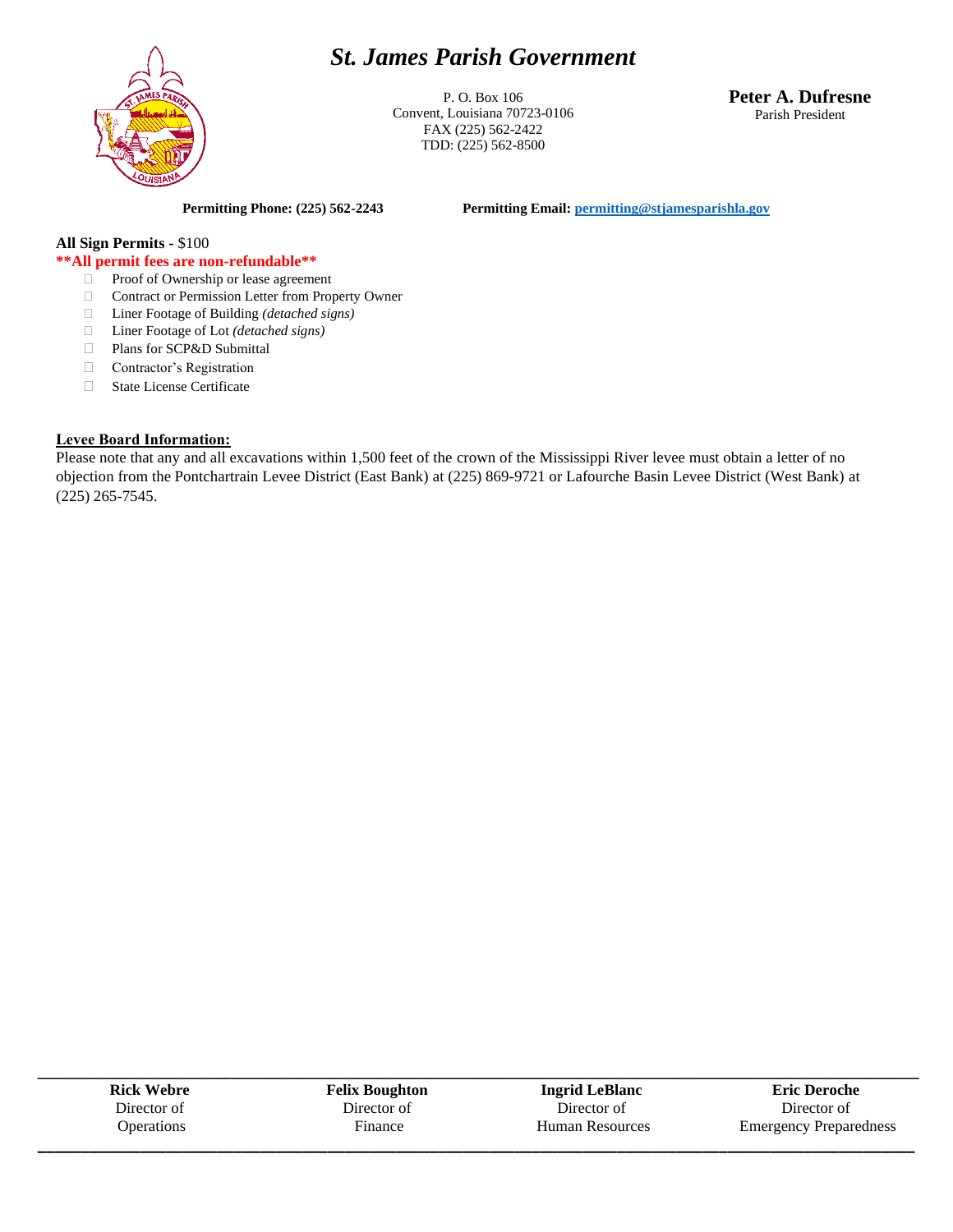## *St. James Parish Government*



P. O. Box 106 Convent, Louisiana 70723-0106 FAX (225) 562-2422 TDD: (225) 562-8500

**Peter A. Dufresne** Parish President

**Permitting Phone: (225) 562-2243 Permitting Email[: permitting@stjamesparishla.gov](mailto:permitting@stjamesparishla.gov)**

## **All Sign Permits -** \$100

## **\*\*All permit fees are non-refundable\*\***

- □ Proof of Ownership or lease agreement
- □ Contract or Permission Letter from Property Owner
- Liner Footage of Building *(detached signs)*
- Liner Footage of Lot *(detached signs)*
- Plans for SCP&D Submittal
- Contractor's Registration
- State License Certificate

## **Levee Board Information:**

Please note that any and all excavations within 1,500 feet of the crown of the Mississippi River levee must obtain a letter of no objection from the Pontchartrain Levee District (East Bank) at (225) 869-9721 or Lafourche Basin Levee District (West Bank) at (225) 265-7545.

| <b>Rick Webre</b> | <b>Felix Boughton</b> | <b>Ingrid LeBlanc</b>  | <b>Eric Deroche</b>           |
|-------------------|-----------------------|------------------------|-------------------------------|
| Director of       | Director of           | Director of            | Director of                   |
| <b>Operations</b> | Finance               | <b>Human Resources</b> | <b>Emergency Preparedness</b> |
|                   |                       |                        |                               |